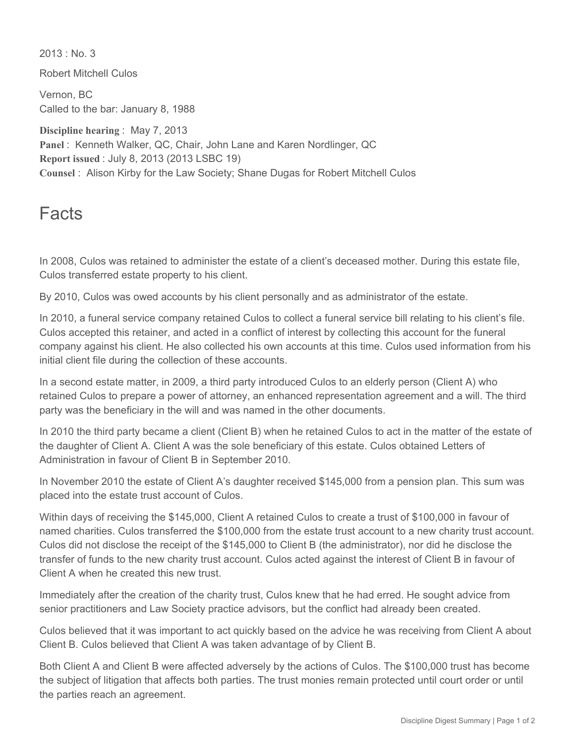$2013 \cdot$  No. 3 Robert Mitchell Culos Vernon, BC Called to the bar: January 8, 1988 **Discipline hearing** : May 7, 2013 **Panel** : Kenneth Walker, QC, Chair, John Lane and Karen Nordlinger, QC **Report issued** : July 8, 2013 (2013 LSBC 19) **Counsel** : Alison Kirby for the Law Society; Shane Dugas for Robert Mitchell Culos

## Facts

In 2008, Culos was retained to administer the estate of a client's deceased mother. During this estate file, Culos transferred estate property to his client.

By 2010, Culos was owed accounts by his client personally and as administrator of the estate.

In 2010, a funeral service company retained Culos to collect a funeral service bill relating to his client's file. Culos accepted this retainer, and acted in a conflict of interest by collecting this account for the funeral company against his client. He also collected his own accounts at this time. Culos used information from his initial client file during the collection of these accounts.

In a second estate matter, in 2009, a third party introduced Culos to an elderly person (Client A) who retained Culos to prepare a power of attorney, an enhanced representation agreement and a will. The third party was the beneficiary in the will and was named in the other documents.

In 2010 the third party became a client (Client B) when he retained Culos to act in the matter of the estate of the daughter of Client A. Client A was the sole beneficiary of this estate. Culos obtained Letters of Administration in favour of Client B in September 2010.

In November 2010 the estate of Client A's daughter received \$145,000 from a pension plan. This sum was placed into the estate trust account of Culos.

Within days of receiving the \$145,000, Client A retained Culos to create a trust of \$100,000 in favour of named charities. Culos transferred the \$100,000 from the estate trust account to a new charity trust account. Culos did not disclose the receipt of the \$145,000 to Client B (the administrator), nor did he disclose the transfer of funds to the new charity trust account. Culos acted against the interest of Client B in favour of Client A when he created this new trust.

Immediately after the creation of the charity trust, Culos knew that he had erred. He sought advice from senior practitioners and Law Society practice advisors, but the conflict had already been created.

Culos believed that it was important to act quickly based on the advice he was receiving from Client A about Client B. Culos believed that Client A was taken advantage of by Client B.

Both Client A and Client B were affected adversely by the actions of Culos. The \$100,000 trust has become the subject of litigation that affects both parties. The trust monies remain protected until court order or until the parties reach an agreement.